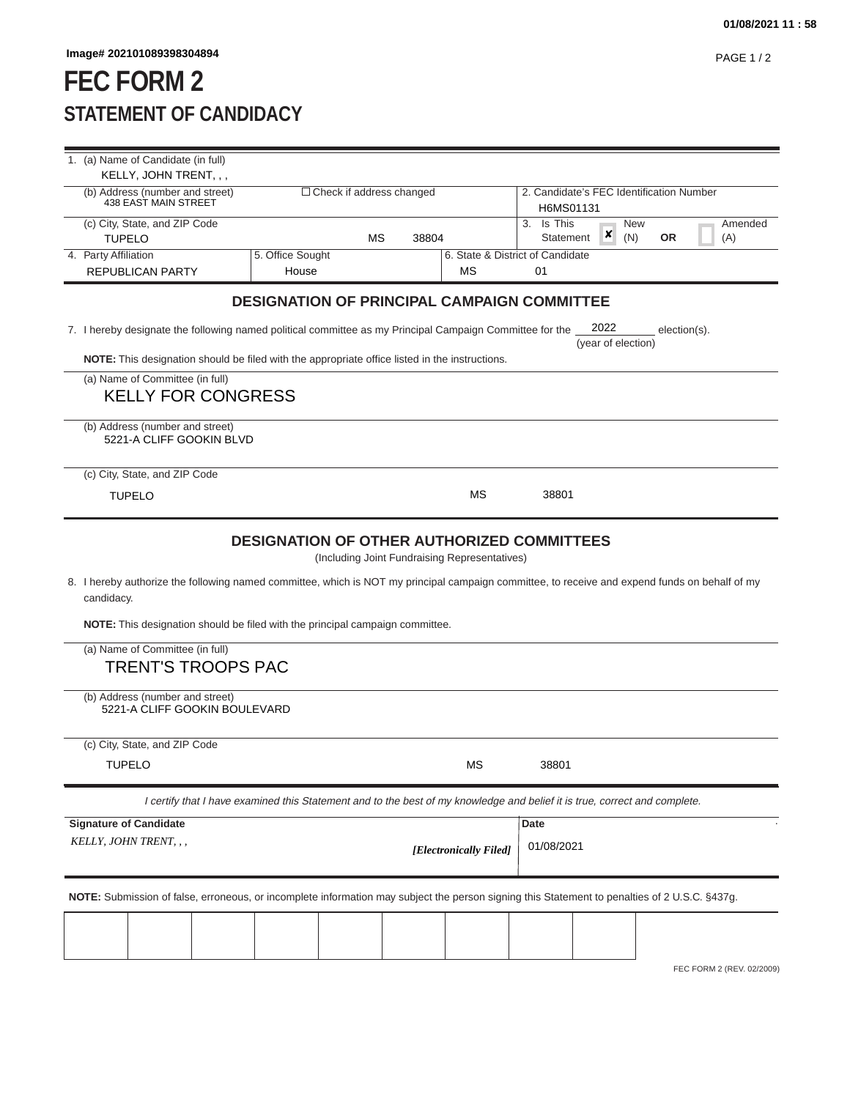## **FEC FORM 2 STATEMENT OF CANDIDACY**

|                                                                                                                            | 1. (a) Name of Candidate (in full)                                                                                                                                                                                                                                                      |                                 |    |           |                                          |                                               |          |           |         |
|----------------------------------------------------------------------------------------------------------------------------|-----------------------------------------------------------------------------------------------------------------------------------------------------------------------------------------------------------------------------------------------------------------------------------------|---------------------------------|----|-----------|------------------------------------------|-----------------------------------------------|----------|-----------|---------|
|                                                                                                                            | KELLY, JOHN TRENT, , ,<br>(b) Address (number and street)                                                                                                                                                                                                                               | $\Box$ Check if address changed |    |           | 2. Candidate's FEC Identification Number |                                               |          |           |         |
|                                                                                                                            | <b>438 EAST MAIN STREET</b>                                                                                                                                                                                                                                                             |                                 |    | H6MS01131 |                                          |                                               |          |           |         |
|                                                                                                                            | (c) City, State, and ZIP Code                                                                                                                                                                                                                                                           |                                 |    |           |                                          | 3. Is This                                    | New<br>× |           | Amended |
|                                                                                                                            | <b>TUPELO</b><br>4. Party Affiliation                                                                                                                                                                                                                                                   | 5. Office Sought                | МS | 38804     |                                          | Statement<br>6. State & District of Candidate | (N)      | <b>OR</b> | (A)     |
|                                                                                                                            | <b>REPUBLICAN PARTY</b>                                                                                                                                                                                                                                                                 | House                           |    |           | МS                                       | 01                                            |          |           |         |
|                                                                                                                            | <b>DESIGNATION OF PRINCIPAL CAMPAIGN COMMITTEE</b>                                                                                                                                                                                                                                      |                                 |    |           |                                          |                                               |          |           |         |
|                                                                                                                            | 2022<br>7. I hereby designate the following named political committee as my Principal Campaign Committee for the<br>$election(s)$ .<br>(year of election)                                                                                                                               |                                 |    |           |                                          |                                               |          |           |         |
|                                                                                                                            | NOTE: This designation should be filed with the appropriate office listed in the instructions.                                                                                                                                                                                          |                                 |    |           |                                          |                                               |          |           |         |
|                                                                                                                            | (a) Name of Committee (in full)<br><b>KELLY FOR CONGRESS</b>                                                                                                                                                                                                                            |                                 |    |           |                                          |                                               |          |           |         |
|                                                                                                                            | (b) Address (number and street)<br>5221-A CLIFF GOOKIN BLVD                                                                                                                                                                                                                             |                                 |    |           |                                          |                                               |          |           |         |
|                                                                                                                            | (c) City, State, and ZIP Code                                                                                                                                                                                                                                                           |                                 |    |           |                                          |                                               |          |           |         |
|                                                                                                                            | <b>TUPELO</b>                                                                                                                                                                                                                                                                           |                                 |    |           | МS                                       | 38801                                         |          |           |         |
|                                                                                                                            | 8. I hereby authorize the following named committee, which is NOT my principal campaign committee, to receive and expend funds on behalf of my<br>candidacy.<br><b>NOTE:</b> This designation should be filed with the principal campaign committee.<br>(a) Name of Committee (in full) |                                 |    |           |                                          |                                               |          |           |         |
|                                                                                                                            | <b>TRENT'S TROOPS PAC</b>                                                                                                                                                                                                                                                               |                                 |    |           |                                          |                                               |          |           |         |
|                                                                                                                            | (b) Address (number and street)<br>5221-A CLIFF GOOKIN BOULEVARD                                                                                                                                                                                                                        |                                 |    |           |                                          |                                               |          |           |         |
|                                                                                                                            | (c) City, State, and ZIP Code                                                                                                                                                                                                                                                           |                                 |    |           |                                          |                                               |          |           |         |
|                                                                                                                            | <b>TUPELO</b>                                                                                                                                                                                                                                                                           |                                 |    |           | МS                                       | 38801                                         |          |           |         |
| I certify that I have examined this Statement and to the best of my knowledge and belief it is true, correct and complete. |                                                                                                                                                                                                                                                                                         |                                 |    |           |                                          |                                               |          |           |         |
|                                                                                                                            | <b>Signature of Candidate</b>                                                                                                                                                                                                                                                           |                                 |    |           |                                          | Date                                          |          |           |         |
|                                                                                                                            | KELLY, JOHN TRENT, , ,                                                                                                                                                                                                                                                                  |                                 |    |           | [Electronically Filed]                   | 01/08/2021                                    |          |           |         |
|                                                                                                                            | NOTE: Submission of false, erroneous, or incomplete information may subject the person signing this Statement to penalties of 2 U.S.C. §437g.                                                                                                                                           |                                 |    |           |                                          |                                               |          |           |         |
|                                                                                                                            |                                                                                                                                                                                                                                                                                         |                                 |    |           |                                          |                                               |          |           |         |
|                                                                                                                            |                                                                                                                                                                                                                                                                                         |                                 |    |           |                                          |                                               |          |           |         |

FEC FORM 2 (REV. 02/2009)